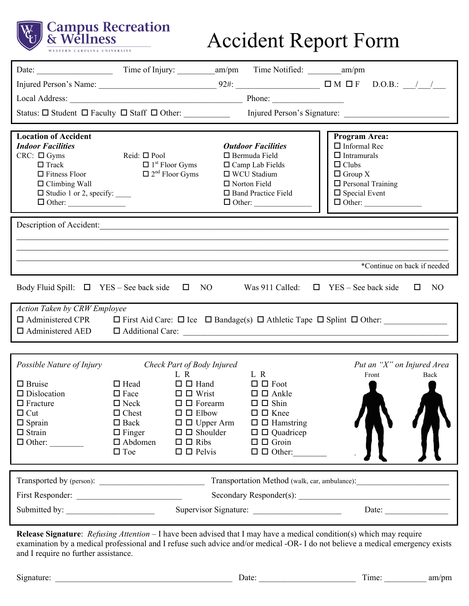

# Accident Report Form

| <b>Location of Accident</b><br><b>Indoor Facilities</b><br>$CRC: \Box Gyms$<br>$\Box$ Track<br>$\Box$ Fitness Floor<br>$\Box$ Climbing Wall<br>$\Box$ Studio 1 or 2, specify: $\_\_$       | Reid: $\square$ Pool<br>$\Box$ 1 <sup>st</sup> Floor Gyms<br>$\Box$ 2 <sup>nd</sup> Floor Gyms |                                                      | $\Box$ Bermuda Field<br>□ WCU Stadium<br>$\Box$ Norton Field | <b>Outdoor Facilities</b><br>$\Box$ Camp Lab Fields<br>□ Band Practice Field<br>$\Box$ Other: | <b>Program Area:</b><br>$\Box$ Informal Rec<br>$\Box$ Intramurals<br>$\Box$ Clubs<br>$\Box$ Group X<br>$\Box$ Personal Training<br>$\Box$ Special Event | $\Box$ Other: |                             |
|--------------------------------------------------------------------------------------------------------------------------------------------------------------------------------------------|------------------------------------------------------------------------------------------------|------------------------------------------------------|--------------------------------------------------------------|-----------------------------------------------------------------------------------------------|---------------------------------------------------------------------------------------------------------------------------------------------------------|---------------|-----------------------------|
| Description of Accident:                                                                                                                                                                   |                                                                                                |                                                      |                                                              |                                                                                               |                                                                                                                                                         |               |                             |
|                                                                                                                                                                                            |                                                                                                |                                                      |                                                              |                                                                                               |                                                                                                                                                         |               |                             |
|                                                                                                                                                                                            |                                                                                                |                                                      |                                                              |                                                                                               |                                                                                                                                                         |               |                             |
|                                                                                                                                                                                            |                                                                                                |                                                      |                                                              |                                                                                               |                                                                                                                                                         |               | *Continue on back if needed |
| Was 911 Called: $\Box$ YES – See back side<br>Body Fluid Spill: $\Box$ YES – See back side $\Box$ NO<br>NO<br>$\Box$                                                                       |                                                                                                |                                                      |                                                              |                                                                                               |                                                                                                                                                         |               |                             |
| Action Taken by CRW Employee<br>$\Box$ Administered CPR<br>$\Box$ First Aid Care: $\Box$ Ice $\Box$ Bandage(s) $\Box$ Athletic Tape $\Box$ Splint $\Box$ Other:<br>$\Box$ Administered AED |                                                                                                |                                                      |                                                              |                                                                                               |                                                                                                                                                         |               |                             |
|                                                                                                                                                                                            |                                                                                                |                                                      |                                                              |                                                                                               |                                                                                                                                                         |               |                             |
| Possible Nature of Injury                                                                                                                                                                  |                                                                                                | Check Part of Body Injured                           |                                                              |                                                                                               |                                                                                                                                                         |               | Put an "X" on Injured Area  |
| $\Box$ Bruise                                                                                                                                                                              | $\Box$ Head                                                                                    | L R<br>$\Box$ $\Box$ Hand                            |                                                              | L R<br>$\Box$ $\Box$ Foot                                                                     |                                                                                                                                                         | Front         | Back                        |
| $\Box$ Dislocation                                                                                                                                                                         | $\Box$ Face                                                                                    | $\square$ $\square$ Wrist                            |                                                              | $\square$ $\square$ Ankle                                                                     |                                                                                                                                                         |               |                             |
| $\Box$ Fracture                                                                                                                                                                            | $\Box$ Neck                                                                                    | $\Box$ $\Box$ Forearm                                |                                                              | $\square$ $\square$ Shin                                                                      |                                                                                                                                                         |               |                             |
| $\Box$ Cut<br>$\Box$ Sprain                                                                                                                                                                | $\Box$ Chest<br>$\square$ Back                                                                 | $\Box$ $\Box$ Elbow<br>$\square$ $\square$ Upper Arm |                                                              | $\Box$ $\Box$ Knee<br>$\Box$ $\Box$ Hamstring                                                 |                                                                                                                                                         |               |                             |
| $\Box$ Strain                                                                                                                                                                              | $\Box$ Finger                                                                                  | $\square$ $\square$ Shoulder                         |                                                              | $\square$ $\square$ Quadricep                                                                 |                                                                                                                                                         |               |                             |
| $\Box$ Other:                                                                                                                                                                              | $\Box$ Abdomen                                                                                 | $\Box$ $\Box$ Ribs                                   |                                                              | $\Box$ $\Box$ Groin                                                                           |                                                                                                                                                         |               |                             |
|                                                                                                                                                                                            | $\Box$ Toe                                                                                     | $\Box$ $\Box$ Pelvis                                 |                                                              | $\Box$ $\Box$ Other:                                                                          |                                                                                                                                                         |               |                             |
|                                                                                                                                                                                            |                                                                                                |                                                      |                                                              |                                                                                               |                                                                                                                                                         |               |                             |
|                                                                                                                                                                                            | Transportation Method (walk, car, ambulance): __________________________________               |                                                      |                                                              |                                                                                               |                                                                                                                                                         |               |                             |
|                                                                                                                                                                                            | Supervisor Signature:<br>Date: $\qquad \qquad$                                                 |                                                      |                                                              |                                                                                               |                                                                                                                                                         |               |                             |
|                                                                                                                                                                                            |                                                                                                |                                                      |                                                              |                                                                                               |                                                                                                                                                         |               |                             |
|                                                                                                                                                                                            |                                                                                                |                                                      |                                                              |                                                                                               |                                                                                                                                                         |               |                             |

**Release Signature**: *Refusing Attention* – I have been advised that I may have a medical condition(s) which may require examination by a medical professional and I refuse such advice and/or medical -OR- I do not believe a medical emergency exists and I require no further assistance.

| Signature: |
|------------|
|------------|